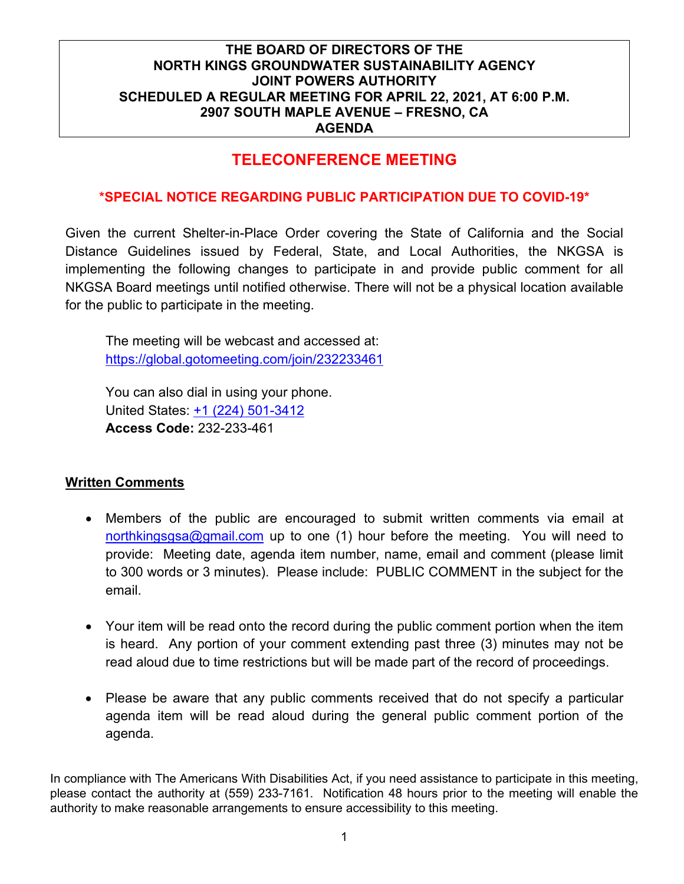# **TELECONFERENCE MEETING**

### **\*SPECIAL NOTICE REGARDING PUBLIC PARTICIPATION DUE TO COVID-19\***

Given the current Shelter-in-Place Order covering the State of California and the Social Distance Guidelines issued by Federal, State, and Local Authorities, the NKGSA is implementing the following changes to participate in and provide public comment for all NKGSA Board meetings until notified otherwise. There will not be a physical location available for the public to participate in the meeting.

The meeting will be webcast and accessed at: <https://global.gotomeeting.com/join/232233461>

You can also dial in using your phone. United States: [+1 \(224\) 501-3412](tel:+12245013412,,232233461) **Access Code:** 232-233-461

#### **Written Comments**

- Members of the public are encouraged to submit written comments via email at [northkingsgsa@gmail.com](mailto:northkingsgsa@gmail.com) up to one (1) hour before the meeting. You will need to provide: Meeting date, agenda item number, name, email and comment (please limit to 300 words or 3 minutes). Please include: PUBLIC COMMENT in the subject for the email.
- Your item will be read onto the record during the public comment portion when the item is heard. Any portion of your comment extending past three (3) minutes may not be read aloud due to time restrictions but will be made part of the record of proceedings.
- Please be aware that any public comments received that do not specify a particular agenda item will be read aloud during the general public comment portion of the agenda.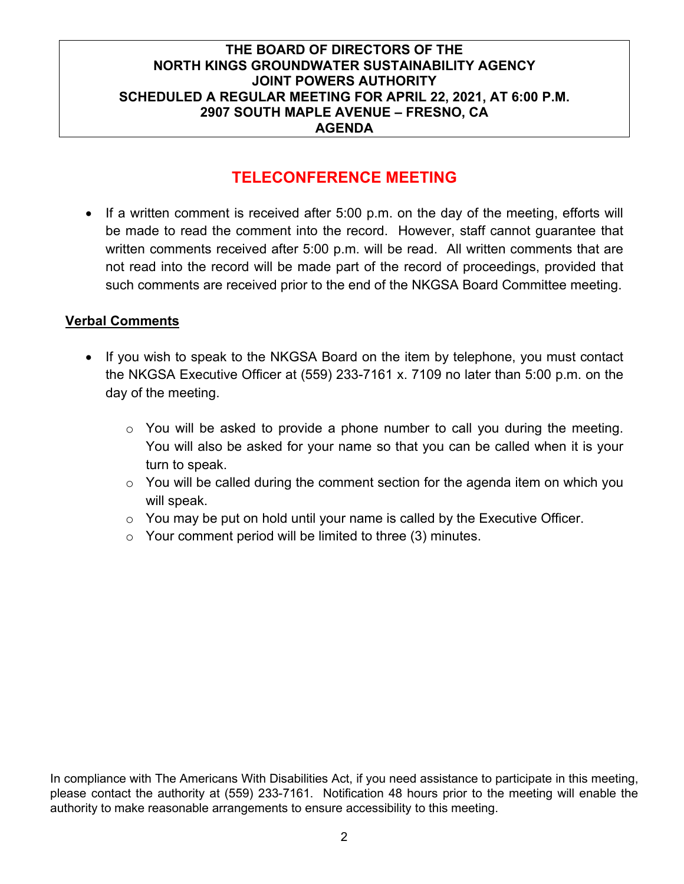# **TELECONFERENCE MEETING**

• If a written comment is received after 5:00 p.m. on the day of the meeting, efforts will be made to read the comment into the record. However, staff cannot guarantee that written comments received after 5:00 p.m. will be read. All written comments that are not read into the record will be made part of the record of proceedings, provided that such comments are received prior to the end of the NKGSA Board Committee meeting.

## **Verbal Comments**

- If you wish to speak to the NKGSA Board on the item by telephone, you must contact the NKGSA Executive Officer at (559) 233-7161 x. 7109 no later than 5:00 p.m. on the day of the meeting.
	- o You will be asked to provide a phone number to call you during the meeting. You will also be asked for your name so that you can be called when it is your turn to speak.
	- $\circ$  You will be called during the comment section for the agenda item on which you will speak.
	- $\circ$  You may be put on hold until your name is called by the Executive Officer.
	- o Your comment period will be limited to three (3) minutes.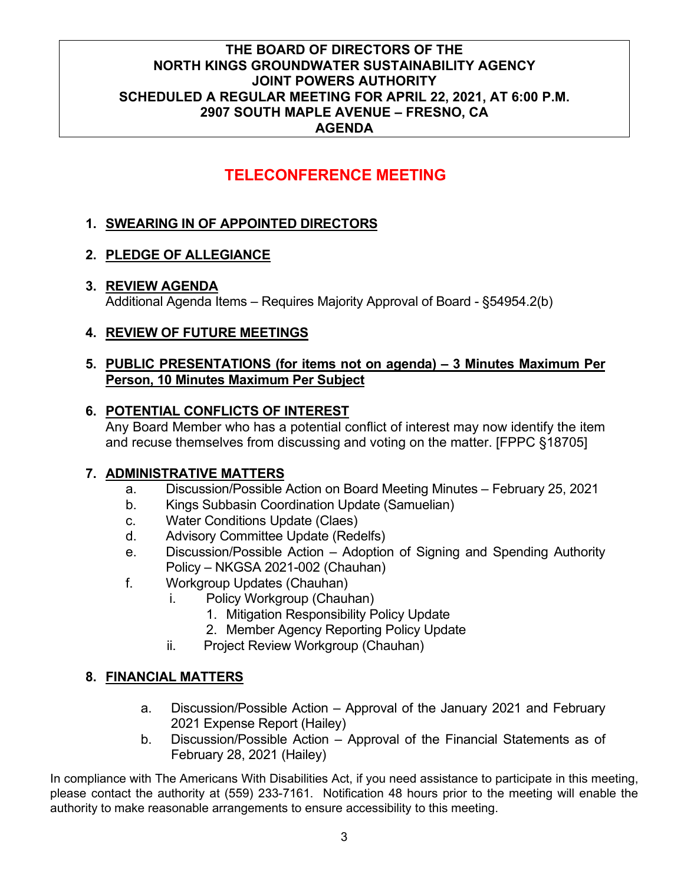# **TELECONFERENCE MEETING**

# **1. SWEARING IN OF APPOINTED DIRECTORS**

## **2. PLEDGE OF ALLEGIANCE**

## **3. REVIEW AGENDA**

Additional Agenda Items – Requires Majority Approval of Board - §54954.2(b)

## **4. REVIEW OF FUTURE MEETINGS**

## **5. PUBLIC PRESENTATIONS (for items not on agenda) – 3 Minutes Maximum Per Person, 10 Minutes Maximum Per Subject**

## **6. POTENTIAL CONFLICTS OF INTEREST**

Any Board Member who has a potential conflict of interest may now identify the item and recuse themselves from discussing and voting on the matter. [FPPC §18705]

# **7. ADMINISTRATIVE MATTERS**

- a. Discussion/Possible Action on Board Meeting Minutes February 25, 2021
- b. Kings Subbasin Coordination Update (Samuelian)
- c. Water Conditions Update (Claes)
- d. Advisory Committee Update (Redelfs)
- e. Discussion/Possible Action Adoption of Signing and Spending Authority Policy – NKGSA 2021-002 (Chauhan)
- f. Workgroup Updates (Chauhan)
	- i. Policy Workgroup (Chauhan)
		- 1. Mitigation Responsibility Policy Update
		- 2. Member Agency Reporting Policy Update
	- ii. Project Review Workgroup (Chauhan)

# **8. FINANCIAL MATTERS**

- a. Discussion/Possible Action Approval of the January 2021 and February 2021 Expense Report (Hailey)
- b. Discussion/Possible Action Approval of the Financial Statements as of February 28, 2021 (Hailey)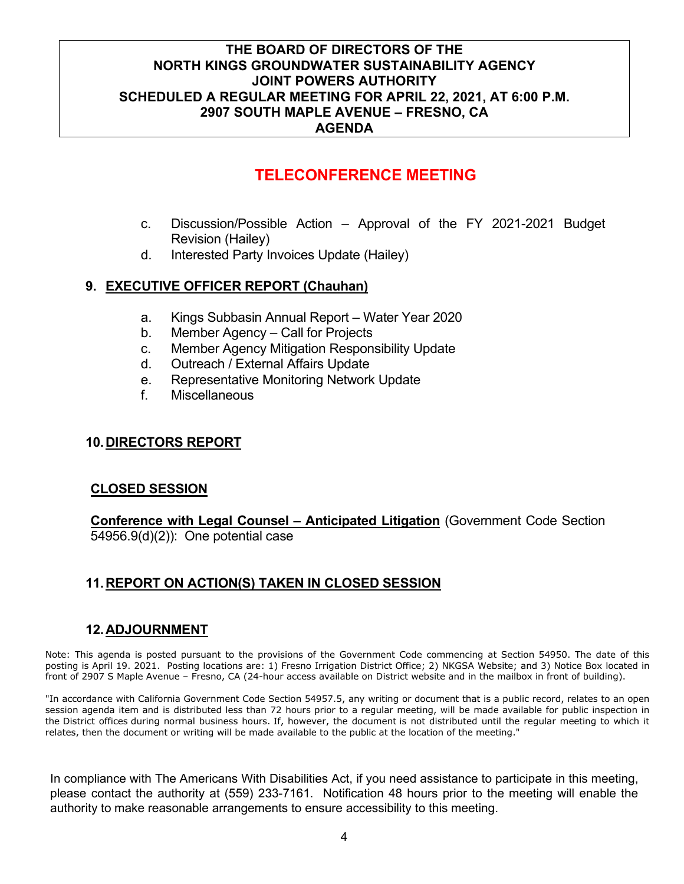# **TELECONFERENCE MEETING**

- c. Discussion/Possible Action Approval of the FY 2021-2021 Budget Revision (Hailey)
- d. Interested Party Invoices Update (Hailey)

#### **9. EXECUTIVE OFFICER REPORT (Chauhan)**

- a. Kings Subbasin Annual Report Water Year 2020
- b. Member Agency Call for Projects
- c. Member Agency Mitigation Responsibility Update
- d. Outreach / External Affairs Update
- e. Representative Monitoring Network Update
- f. Miscellaneous

#### **10.DIRECTORS REPORT**

#### **CLOSED SESSION**

**Conference with Legal Counsel – Anticipated Litigation** (Government Code Section 54956.9(d)(2)): One potential case

## **11.REPORT ON ACTION(S) TAKEN IN CLOSED SESSION**

#### **12.ADJOURNMENT**

Note: This agenda is posted pursuant to the provisions of the Government Code commencing at Section 54950. The date of this posting is April 19. 2021. Posting locations are: 1) Fresno Irrigation District Office; 2) NKGSA Website; and 3) Notice Box located in front of 2907 S Maple Avenue – Fresno, CA (24-hour access available on District website and in the mailbox in front of building).

"In accordance with California Government Code Section 54957.5, any writing or document that is a public record, relates to an open session agenda item and is distributed less than 72 hours prior to a regular meeting, will be made available for public inspection in the District offices during normal business hours. If, however, the document is not distributed until the regular meeting to which it relates, then the document or writing will be made available to the public at the location of the meeting."